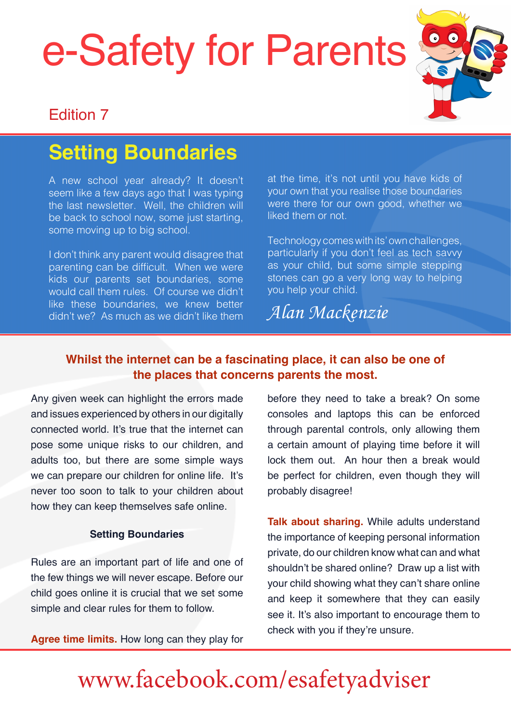# e-Safety for Parent[s](http://www.esafety-adviser.com)



#### Edition 7

### **Setting Boundaries**

A new school year already? It doesn't seem like a few days ago that I was typing the last newsletter. Well, the children will be back to school now, some just starting, some moving up to big school.

I don't think any parent would disagree that parenting can be difficult. When we were kids our parents set boundaries, some would call them rules. Of course we didn't like these boundaries, we knew better didn't we? As much as we didn't like them at the time, it's not until you have kids of your own that you realise those boundaries were there for our own good, whether we liked them or not.

Technology comes with its' own challenges, particularly if you don't feel as tech savvy as your child, but some simple stepping stones can go a very long way to helping you help your child.

*Alan Mackenzie*

#### **Whilst the internet can be a fascinating place, it can also be one of the places that concerns parents the most.**

Any given week can highlight the errors made and issues experienced by others in our digitally connected world. It's true that the internet can pose some unique risks to our children, and adults too, but there are some simple ways we can prepare our children for online life. It's never too soon to talk to your children about how they can keep themselves safe online.

#### **Setting Boundaries**

Rules are an important part of life and one of the few things we will never escape. Before our child goes online it is crucial that we set some simple and clear rules for them to follow.

**Agree time limits.** How long can they play for

before they need to take a break? On some consoles and laptops this can be enforced through parental controls, only allowing them a certain amount of playing time before it will lock them out. An hour then a break would be perfect for children, even though they will probably disagree!

**Talk about sharing.** While adults understand the importance of keeping personal information private, do our children know what can and what shouldn't be shared online? Draw up a list with your child showing what they can't share online and keep it somewhere that they can easily see it. It's also important to encourage them to check with you if they're unsure.

### [www.facebook.com/esafetyadviser](https://www.facebook.com/esafetyadviser)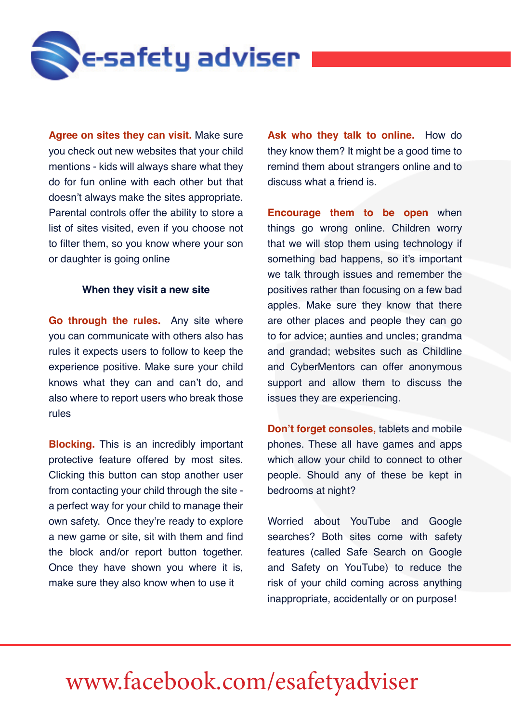

**Agree on sites they can visit.** Make sure you check out new websites that your child mentions - kids will always share what they do for fun online with each other but that doesn't always make the sites appropriate. Parental controls offer the ability to store a list of sites visited, even if you choose not to filter them, so you know where your son or daughter is going online

#### **When they visit a new site**

**Go through the rules.** Any site where you can communicate with others also has rules it expects users to follow to keep the experience positive. Make sure your child knows what they can and can't do, and also where to report users who break those rules

**Blocking.** This is an incredibly important protective feature offered by most sites. Clicking this button can stop another user from contacting your child through the site a perfect way for your child to manage their own safety. Once they're ready to explore a new game or site, sit with them and find the block and/or report button together. Once they have shown you where it is, make sure they also know when to use it

**Ask who they talk to online.** How do they know them? It might be a good time to remind them about strangers online and to discuss what a friend is.

**Encourage them to be open** when things go wrong online. Children worry that we will stop them using technology if something bad happens, so it's important we talk through issues and remember the positives rather than focusing on a few bad apples. Make sure they know that there are other places and people they can go to for advice; aunties and uncles; grandma and grandad; websites such as Childline and CyberMentors can offer anonymous support and allow them to discuss the issues they are experiencing.

**Don't forget consoles,** tablets and mobile phones. These all have games and apps which allow your child to connect to other people. Should any of these be kept in bedrooms at night?

Worried about YouTube and Google searches? Both sites come with safety features (called Safe Search on Google and Safety on YouTube) to reduce the risk of your child coming across anything inappropriate, accidentally or on purpose!

#### **www.esafety-adviser.com** [www.facebook.com/esafetyadviser](https://www.facebook.com/esafetyadviser)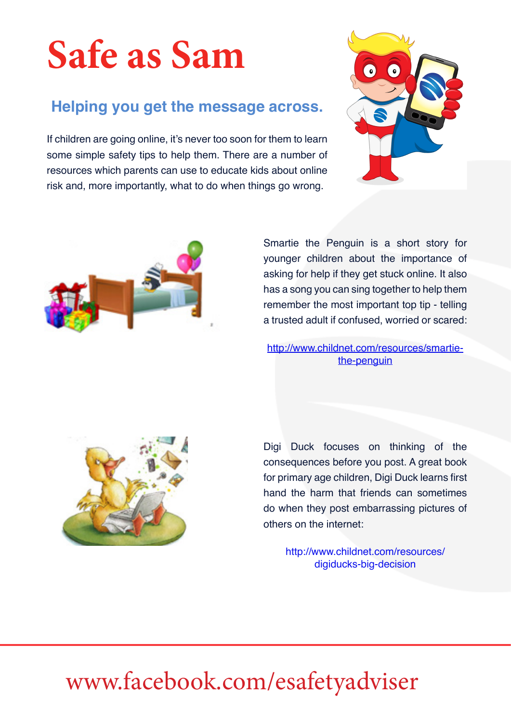## **Safe as Sam**

#### **Helping you get the message across.**

If children are going online, it's never too soon for them to learn some simple safety tips to help them. There are a number of resources which parents can use to educate kids about online risk and, more importantly, what to do when things go wrong.





Smartie the Penguin is a short story for younger children about the importance of asking for help if they get stuck online. It also has a song you can sing together to help them remember the most important top tip - telling a trusted adult if confused, worried or scared:

[http://www.childnet.com/resources/smartie](http://www.childnet.com/resources/smartie-the-penguin)[the-penguin](http://www.childnet.com/resources/smartie-the-penguin)



Digi Duck focuses on thinking of the consequences before you post. A great book for primary age children, Digi Duck learns first hand the harm that friends can sometimes do when they post embarrassing pictures of others on the internet:

> http://www.childnet.com/resources/ digiducks-big-decision

#### **www.esafety-adviser.com** [www.facebook.com/esafetyadviser](https://www.facebook.com/esafetyadviser)